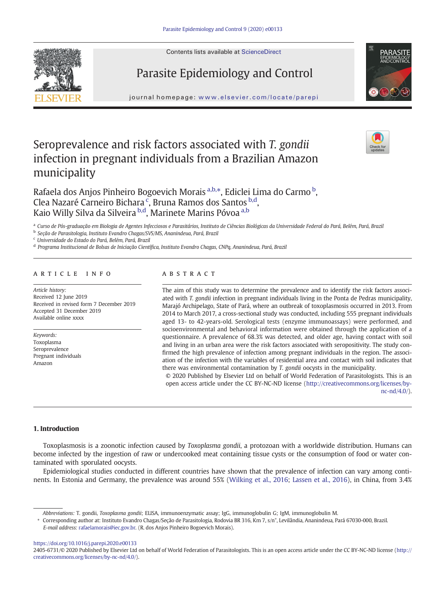



journal homepage: <www.elsevier.com/locate/parepi>



# Seroprevalence and risk factors associated with T. gondii infection in pregnant individuals from a Brazilian Amazon municipality



Rafaela dos Anjos Pinheiro Bogoevich Morais <sup>a,b,</sup>\*, Ediclei Lima do Carmo <sup>b</sup>, Clea Nazaré Carneiro Bichara<sup>c</sup>, Bruna Ramos dos Santos <sup>b,d</sup>, Kaio Willy Silva da Silveira <sup>b,d</sup>, Marinete Marins Póvoa <sup>a,b</sup>

a Curso de Pós-graduação em Biologia de Agentes Infecciosos e Parasitários, Instituto de Ciências Biológicas da Universidade Federal do Pará, Belém, Pará, Brazil

<sup>b</sup> Seção de Parasitologia, Instituto Evandro Chagas/SVS/MS, Ananindeua, Pará, Brazil

<sup>c</sup> Universidade do Estado do Pará, Belém, Pará, Brazil

<sup>d</sup> Programa Institucional de Bolsas de Iniciação Científica, Instituto Evandro Chagas, CNPq, Ananindeua, Pará, Brazil

## article info abstract

Article history: Received 12 June 2019 Received in revised form 7 December 2019 Accepted 31 December 2019 Available online xxxx

Keywords: Toxoplasma Seroprevalence Pregnant individuals Amazon

The aim of this study was to determine the prevalence and to identify the risk factors associated with T. gondii infection in pregnant individuals living in the Ponta de Pedras municipality, Marajó Archipelago, State of Pará, where an outbreak of toxoplasmosis occurred in 2013. From 2014 to March 2017, a cross-sectional study was conducted, including 555 pregnant individuals aged 13- to 42-years-old. Serological tests (enzyme immunoassays) were performed, and socioenvironmental and behavioral information were obtained through the application of a questionnaire. A prevalence of 68.3% was detected, and older age, having contact with soil and living in an urban area were the risk factors associated with seropositivity. The study confirmed the high prevalence of infection among pregnant individuals in the region. The association of the infection with the variables of residential area and contact with soil indicates that there was environmental contamination by T. gondii oocysts in the municipality.

© 2020 Published by Elsevier Ltd on behalf of World Federation of Parasitologists. This is an open access article under the CC BY-NC-ND license (http://creativecommons.org/licenses/bync-nd/4.0/).

### 1. Introduction

Toxoplasmosis is a zoonotic infection caused by Toxoplasma gondii, a protozoan with a worldwide distribution. Humans can become infected by the ingestion of raw or undercooked meat containing tissue cysts or the consumption of food or water contaminated with sporulated oocysts.

Epidemiological studies conducted in different countries have shown that the prevalence of infection can vary among continents. In Estonia and Germany, the prevalence was around 55% ([Wilking et al., 2016;](#page-7-0) [Lassen et al., 2016\)](#page-6-0), in China, from 3.4%

E-mail address: [rafaelamorais@iec.gov.br.](rafaelamorais@iec.gov.br) (R. dos Anjos Pinheiro Bogoevich Morais).

<https://doi.org/10.1016/j.parepi.2020.e00133>

Abbreviations: T. gondii, Toxoplasma gondii; ELISA, immunoenzymatic assay; IgG, immunoglobulin G; IgM, immunoglobulin M.

<sup>⁎</sup> Corresponding author at: Instituto Evandro Chagas/Seção de Parasitologia, Rodovia BR 316, Km 7, s/n°, Levilândia, Ananindeua, Pará 67030-000, Brazil.

<sup>2405-6731/© 2020</sup> Published by Elsevier Ltd on behalf of World Federation of Parasitologists. This is an open access article under the CC BY-NC-ND license (http:// creativecommons.org/licenses/by-nc-nd/4.0/).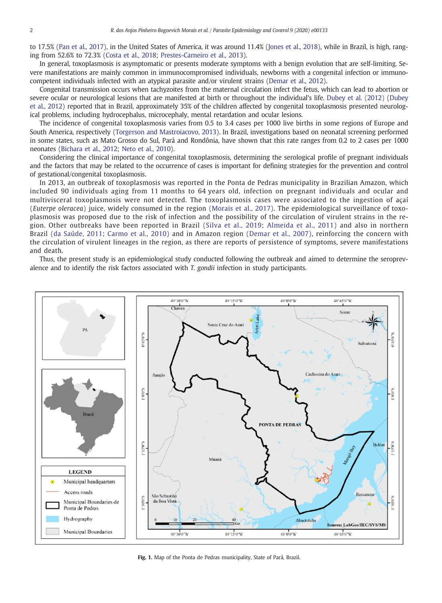<span id="page-1-0"></span>to 17.5% ([Pan et al., 2017\)](#page-6-0), in the United States of America, it was around 11.4% ([Jones et al., 2018](#page-6-0)), while in Brazil, is high, ranging from 52.6% to 72.3% [\(Costa et al., 2018](#page-6-0); [Prestes-Carneiro et al., 2013\)](#page-6-0).

In general, toxoplasmosis is asymptomatic or presents moderate symptoms with a benign evolution that are self-limiting. Severe manifestations are mainly common in immunocompromised individuals, newborns with a congenital infection or immunocompetent individuals infected with an atypical parasite and/or virulent strains [\(Demar et al., 2012](#page-6-0)).

Congenital transmission occurs when tachyzoites from the maternal circulation infect the fetus, which can lead to abortion or severe ocular or neurological lesions that are manifested at birth or throughout the individual's life. [Dubey et al. \(2012\)](#page-6-0) [\(Dubey](#page-6-0) [et al., 2012\)](#page-6-0) reported that in Brazil, approximately 35% of the children affected by congenital toxoplasmosis presented neurological problems, including hydrocephalus, microcephaly, mental retardation and ocular lesions.

The incidence of congenital toxoplasmosis varies from 0.5 to 3.4 cases per 1000 live births in some regions of Europe and South America, respectively [\(Torgerson and Mastroiacovo, 2013\)](#page-7-0). In Brazil, investigations based on neonatal screening performed in some states, such as Mato Grosso do Sul, Pará and Rondônia, have shown that this rate ranges from 0.2 to 2 cases per 1000 neonates [\(Bichara et al., 2012;](#page-6-0) [Neto et al., 2010](#page-6-0)).

Considering the clinical importance of congenital toxoplasmosis, determining the serological profile of pregnant individuals and the factors that may be related to the occurrence of cases is important for defining strategies for the prevention and control of gestational/congenital toxoplasmosis.

In 2013, an outbreak of toxoplasmosis was reported in the Ponta de Pedras municipality in Brazilian Amazon, which included 90 individuals aging from 11 months to 64 years old, infection on pregnant individuals and ocular and multivisceral toxoplasmosis were not detected. The toxoplasmosis cases were associated to the ingestion of açaí (Euterpe oleracea) juice, widely consumed in the region ([Morais et al., 2017\)](#page-6-0). The epidemiological surveillance of toxoplasmosis was proposed due to the risk of infection and the possibility of the circulation of virulent strains in the region. Other outbreaks have been reported in Brazil ([Silva et al., 2019;](#page-7-0) [Almeida et al., 2011\)](#page-6-0) and also in northern Brazil ([da Saúde, 2011](#page-6-0); [Carmo et al., 2010](#page-6-0)) and in Amazon region ([Demar et al., 2007](#page-6-0)), reinforcing the concern with the circulation of virulent lineages in the region, as there are reports of persistence of symptoms, severe manifestations and death.

Thus, the present study is an epidemiological study conducted following the outbreak and aimed to determine the seroprevalence and to identify the risk factors associated with T. gondii infection in study participants.



Fig. 1. Map of the Ponta de Pedras municipality, State of Pará, Brazil.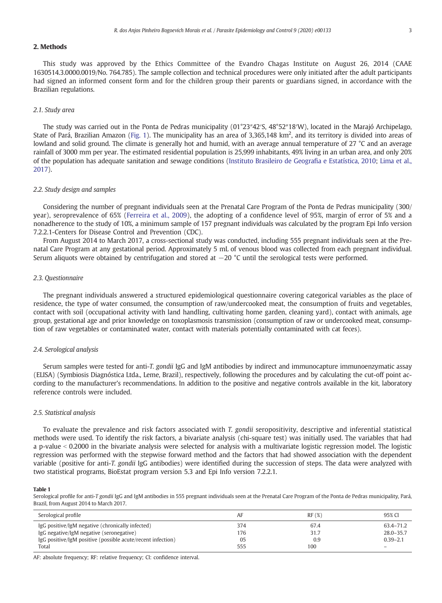### <span id="page-2-0"></span>2. Methods

This study was approved by the Ethics Committee of the Evandro Chagas Institute on August 26, 2014 (CAAE 1630514.3.0000.0019/No. 764.785). The sample collection and technical procedures were only initiated after the adult participants had signed an informed consent form and for the children group their parents or guardians signed, in accordance with the Brazilian regulations.

### 2.1. Study area

The study was carried out in the Ponta de Pedras municipality (01°23″42′S, 48°52″18′W), located in the Marajó Archipelago, State of Pará, Brazilian Amazon [\(Fig. 1\)](#page-1-0). The municipality has an area of 3,365,148 km<sup>2</sup>, and its territory is divided into areas of lowland and solid ground. The climate is generally hot and humid, with an average annual temperature of 27 °C and an average rainfall of 3000 mm per year. The estimated residential population is 25,999 inhabitants, 49% living in an urban area, and only 20% of the population has adequate sanitation and sewage conditions [\(Instituto Brasileiro de Geogra](#page-6-0)fia e Estatística, 2010; [Lima et al.,](#page-6-0) [2017](#page-6-0)).

### 2.2. Study design and samples

Considering the number of pregnant individuals seen at the Prenatal Care Program of the Ponta de Pedras municipality (300/ year), seroprevalence of 65% [\(Ferreira et al., 2009](#page-6-0)), the adopting of a confidence level of 95%, margin of error of 5% and a nonadherence to the study of 10%, a minimum sample of 157 pregnant individuals was calculated by the program Epi Info version 7.2.2.1-Centers for Disease Control and Prevention (CDC).

From August 2014 to March 2017, a cross-sectional study was conducted, including 555 pregnant individuals seen at the Prenatal Care Program at any gestational period. Approximately 5 mL of venous blood was collected from each pregnant individual. Serum aliquots were obtained by centrifugation and stored at −20 °C until the serological tests were performed.

### 2.3. Questionnaire

The pregnant individuals answered a structured epidemiological questionnaire covering categorical variables as the place of residence, the type of water consumed, the consumption of raw/undercooked meat, the consumption of fruits and vegetables, contact with soil (occupational activity with land handling, cultivating home garden, cleaning yard), contact with animals, age group, gestational age and prior knowledge on toxoplasmosis transmission (consumption of raw or undercooked meat, consumption of raw vegetables or contaminated water, contact with materials potentially contaminated with cat feces).

### 2.4. Serological analysis

Serum samples were tested for anti-T. gondii IgG and IgM antibodies by indirect and immunocapture immunoenzymatic assay (ELISA) (Symbiosis Diagnóstica Ltda., Leme, Brazil), respectively, following the procedures and by calculating the cut-off point according to the manufacturer's recommendations. In addition to the positive and negative controls available in the kit, laboratory reference controls were included.

### 2.5. Statistical analysis

To evaluate the prevalence and risk factors associated with T. gondii seropositivity, descriptive and inferential statistical methods were used. To identify the risk factors, a bivariate analysis (chi-square test) was initially used. The variables that had a p-value < 0.2000 in the bivariate analysis were selected for analysis with a multivariate logistic regression model. The logistic regression was performed with the stepwise forward method and the factors that had showed association with the dependent variable (positive for anti-T. gondii IgG antibodies) were identified during the succession of steps. The data were analyzed with two statistical programs, BioEstat program version 5.3 and Epi Info version 7.2.2.1.

#### Table 1

Serological profile for anti-T gondii IgG and IgM antibodies in 555 pregnant individuals seen at the Prenatal Care Program of the Ponta de Pedras municipality, Pará, Brazil, from August 2014 to March 2017.

| Serological profile                                         | AF  | RF(%) | 95% CI        |
|-------------------------------------------------------------|-----|-------|---------------|
| IgG positive/IgM negative (chronically infected)            | 374 | 67.4  | 63.4-71.2     |
| IgG negative/IgM negative (seronegative)                    | 176 | 31.7  | $28.0 - 35.7$ |
| IgG positive/IgM positive (possible acute/recent infection) | 05  | 0.9   | $0.39 - 2.1$  |
| Total                                                       | 555 | 100   | -             |

AF: absolute frequency; RF: relative frequency; CI: confidence interval.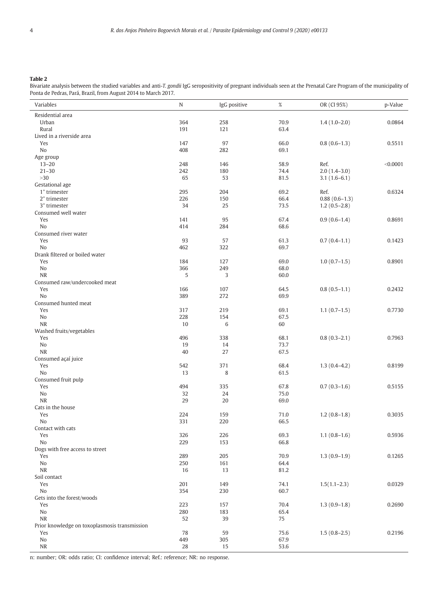### <span id="page-3-0"></span>Table 2

Bivariate analysis between the studied variables and anti-T. gondii IgG seropositivity of pregnant individuals seen at the Prenatal Care Program of the municipality of Ponta de Pedras, Pará, Brazil, from August 2014 to March 2017.

| Variables                                     | $\mathbf N$ | IgG positive | $\%$         | OR (CI 95%)     | p-Value  |
|-----------------------------------------------|-------------|--------------|--------------|-----------------|----------|
| Residential area                              |             |              |              |                 |          |
| Urban                                         | 364         | 258          | 70.9         | $1.4(1.0-2.0)$  | 0.0864   |
| Rural                                         | 191         | 121          | 63.4         |                 |          |
| Lived in a riverside area                     |             |              |              |                 |          |
| Yes                                           | 147         | 97           | 66.0         | $0.8(0.6-1.3)$  | 0.5511   |
| No                                            | 408         | 282          | 69.1         |                 |          |
| Age group                                     |             |              |              |                 |          |
| $13 - 20$                                     | 248         | 146          | 58.9         | Ref.            | < 0.0001 |
| $21 - 30$                                     | 242         | 180          | 74.4         | $2.0(1.4-3.0)$  |          |
| >30                                           | 65          | 53           | 81.5         | $3.1(1.6-6.1)$  |          |
| Gestational age                               |             |              |              |                 |          |
| 1° trimester                                  | 295         | 204          | 69.2         | Ref.            | 0.6324   |
| 2° trimester                                  | 226         | 150          | 66.4         | $0.88(0.6-1.3)$ |          |
| 3° trimester<br>Consumed well water           | 34          | 25           | 73.5         | $1.2(0.5-2.8)$  |          |
| Yes                                           | 141         | 95           | 67.4         | $0.9(0.6-1.4)$  | 0.8691   |
| No                                            | 414         | 284          | 68.6         |                 |          |
| Consumed river water                          |             |              |              |                 |          |
| Yes                                           | 93          | 57           | 61.3         | $0.7(0.4-1.1)$  | 0.1423   |
| No                                            | 462         | 322          | 69.7         |                 |          |
| Drank filtered or boiled water                |             |              |              |                 |          |
| Yes                                           | 184         | 127          | 69.0         | $1.0(0.7-1.5)$  | 0.8901   |
| No                                            | 366         | 249          | 68.0         |                 |          |
| <b>NR</b>                                     | 5           | 3            | 60.0         |                 |          |
| Consumed raw/undercooked meat                 |             |              |              |                 |          |
| Yes                                           | 166         | 107          | 64.5         | $0.8(0.5-1.1)$  | 0.2432   |
| No                                            | 389         | 272          | 69.9         |                 |          |
| Consumed hunted meat                          |             |              |              |                 |          |
| Yes                                           | 317         | 219          | 69.1         | $1.1(0.7-1.5)$  | 0.7730   |
| No                                            | 228         | 154          | 67.5         |                 |          |
| NR                                            | 10          | 6            | 60           |                 |          |
| Washed fruits/vegetables                      |             |              |              |                 |          |
| Yes                                           | 496         | 338          | 68.1         | $0.8(0.3-2.1)$  | 0.7963   |
| No                                            | 19          | 14           | 73.7         |                 |          |
| <b>NR</b>                                     | 40          | 27           | 67.5         |                 |          |
| Consumed açaí juice                           |             |              |              |                 |          |
| Yes                                           | 542         | 371          | 68.4         | $1.3(0.4-4.2)$  | 0.8199   |
| No                                            | 13          | 8            | 61.5         |                 |          |
| Consumed fruit pulp<br>Yes                    | 494         | 335          | 67.8         | $0.7(0.3-1.6)$  | 0.5155   |
| No                                            | 32          | 24           | 75.0         |                 |          |
| <b>NR</b>                                     | 29          | 20           | 69.0         |                 |          |
| Cats in the house                             |             |              |              |                 |          |
| Yes                                           | 224         | 159          | 71.0         | $1.2(0.8-1.8)$  | 0.3035   |
| No                                            | 331         | 220          | 66.5         |                 |          |
| Contact with cats                             |             |              |              |                 |          |
| Yes                                           | 326         | 226          | 69.3         | $1.1(0.8-1.6)$  | 0.5936   |
| No                                            | 229         | 153          | 66.8         |                 |          |
| Dogs with free access to street               |             |              |              |                 |          |
| Yes                                           | 289         | 205          | 70.9         | $1.3(0.9-1.9)$  | 0.1265   |
| No                                            | 250         | 161          | 64.4         |                 |          |
| NR                                            | 16          | 13           | 81.2         |                 |          |
| Soil contact                                  |             |              |              |                 |          |
| Yes                                           | 201         | 149          | 74.1         | $1.5(1.1-2.3)$  | 0.0329   |
| No                                            | 354         | 230          | 60.7         |                 |          |
| Gets into the forest/woods                    |             |              |              |                 |          |
| Yes                                           | 223         | 157          | 70.4         | $1.3(0.9-1.8)$  | 0.2690   |
| No                                            | 280         | 183          | 65.4         |                 |          |
| NR                                            | 52          | 39           | 75           |                 |          |
| Prior knowledge on toxoplasmosis transmission |             |              |              |                 |          |
| Yes                                           | 78          | 59           | 75.6         | $1.5(0.8-2.5)$  | 0.2196   |
| No<br>NR                                      | 449<br>28   | 305<br>15    | 67.9<br>53.6 |                 |          |
|                                               |             |              |              |                 |          |

n: number; OR: odds ratio; CI: confidence interval; Ref.: reference; NR: no response.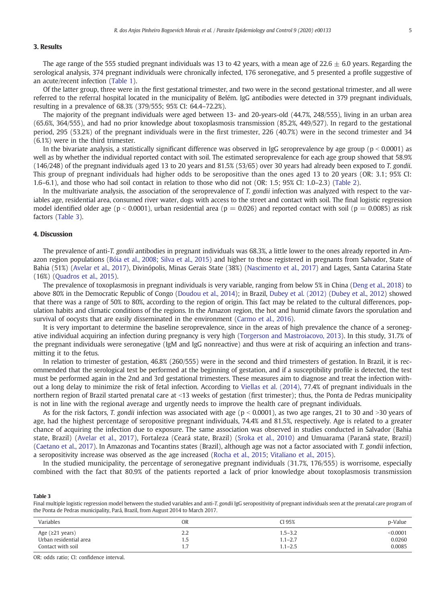### 3. Results

The age range of the 555 studied pregnant individuals was 13 to 42 years, with a mean age of 22.6  $\pm$  6.0 years. Regarding the serological analysis, 374 pregnant individuals were chronically infected, 176 seronegative, and 5 presented a profile suggestive of an acute/recent infection [\(Table 1\)](#page-2-0).

Of the latter group, three were in the first gestational trimester, and two were in the second gestational trimester, and all were referred to the referral hospital located in the municipality of Belém. IgG antibodies were detected in 379 pregnant individuals, resulting in a prevalence of 68.3% (379/555; 95% CI: 64.4–72.2%).

The majority of the pregnant individuals were aged between 13- and 20-years-old (44.7%, 248/555), living in an urban area (65.6%, 364/555), and had no prior knowledge about toxoplasmosis transmission (85.2%, 449/527). In regard to the gestational period, 295 (53.2%) of the pregnant individuals were in the first trimester, 226 (40.7%) were in the second trimester and 34 (6.1%) were in the third trimester.

In the bivariate analysis, a statistically significant difference was observed in IgG seroprevalence by age group ( $p < 0.0001$ ) as well as by whether the individual reported contact with soil. The estimated seroprevalence for each age group showed that 58.9% (146/248) of the pregnant individuals aged 13 to 20 years and 81.5% (53/65) over 30 years had already been exposed to T. gondii. This group of pregnant individuals had higher odds to be seropositive than the ones aged 13 to 20 years (OR: 3.1; 95% CI: 1.6–6.1), and those who had soil contact in relation to those who did not (OR: 1.5; 95% CI: 1.0–2.3) [\(Table 2](#page-3-0)).

In the multivariate analysis, the association of the seroprevalence of T. gondii infection was analyzed with respect to the variables age, residential area, consumed river water, dogs with access to the street and contact with soil. The final logistic regression model identified older age (p < 0.0001), urban residential area (p = 0.026) and reported contact with soil (p = 0.0085) as risk factors (Table 3).

### 4. Discussion

The prevalence of anti-T. gondii antibodies in pregnant individuals was 68.3%, a little lower to the ones already reported in Amazon region populations ([Bóia et al., 2008;](#page-6-0) [Silva et al., 2015\)](#page-6-0) and higher to those registered in pregnants from Salvador, State of Bahia (51%) [\(Avelar et al., 2017\)](#page-6-0), Divinópolis, Minas Gerais State (38%) ([Nascimento et al., 2017](#page-6-0)) and Lages, Santa Catarina State (16%) [\(Quadros et al., 2015\)](#page-6-0).

The prevalence of toxoplasmosis in pregnant individuals is very variable, ranging from below 5% in China ([Deng et al., 2018](#page-6-0)) to above 80% in the Democratic Republic of Congo [\(Doudou et al., 2014\)](#page-6-0); in Brazil, [Dubey et al. \(2012\)](#page-6-0) [\(Dubey et al., 2012](#page-6-0)) showed that there was a range of 50% to 80%, according to the region of origin. This fact may be related to the cultural differences, population habits and climatic conditions of the regions. In the Amazon region, the hot and humid climate favors the sporulation and survival of oocysts that are easily disseminated in the environment [\(Carmo et al., 2016\)](#page-6-0).

It is very important to determine the baseline seroprevalence, since in the areas of high prevalence the chance of a seronegative individual acquiring an infection during pregnancy is very high ([Torgerson and Mastroiacovo, 2013](#page-7-0)). In this study, 31.7% of the pregnant individuals were seronegative (IgM and IgG nonreactive) and thus were at risk of acquiring an infection and transmitting it to the fetus.

In relation to trimester of gestation, 46.8% (260/555) were in the second and third trimesters of gestation. In Brazil, it is recommended that the serological test be performed at the beginning of gestation, and if a susceptibility profile is detected, the test must be performed again in the 2nd and 3rd gestational trimesters. These measures aim to diagnose and treat the infection without a long delay to minimize the risk of fetal infection. According to [Viellas et al. \(2014\),](#page-7-0) 77.4% of pregnant individuals in the northern region of Brazil started prenatal care at <13 weeks of gestation (first trimester); thus, the Ponta de Pedras municipality is not in line with the regional average and urgently needs to improve the health care of pregnant individuals.

As for the risk factors, T. gondii infection was associated with age ( $p < 0.0001$ ), as two age ranges, 21 to 30 and >30 years of age, had the highest percentage of seropositive pregnant individuals, 74.4% and 81.5%, respectively. Age is related to a greater chance of acquiring the infection due to exposure. The same association was observed in studies conducted in Salvador (Bahia state, Brazil) ([Avelar et al., 2017](#page-6-0)), Fortaleza (Ceará state, Brazil) [\(Sroka et al., 2010\)](#page-7-0) and Umuarama (Paraná state, Brazil) ([Caetano et al., 2017\)](#page-6-0). In Amazonas and Tocantins states (Brazil), although age was not a factor associated with T. gondii infection, a seropositivity increase was observed as the age increased [\(Rocha et al., 2015;](#page-6-0) [Vitaliano et al., 2015](#page-7-0)).

In the studied municipality, the percentage of seronegative pregnant individuals (31.7%, 176/555) is worrisome, especially combined with the fact that 80.9% of the patients reported a lack of prior knowledge about toxoplasmosis transmission

### Table 3

Final multiple logistic regression model between the studied variables and anti-T. gondii IgG seropositivity of pregnant individuals seen at the prenatal care program of the Ponta de Pedras municipality, Pará, Brazil, from August 2014 to March 2017.

| Variables                 | OR  | CI 95%      | p-Value  |
|---------------------------|-----|-------------|----------|
| Age $(≥21 \text{ years})$ | 2.2 | 1.5–3.2     | < 0.0001 |
| Urban residential area    | 1.5 | $1.1 - 2.7$ | 0.0260   |
| Contact with soil         | 1.7 | $1.1 - 2.5$ | 0.0085   |

OR: odds ratio; CI: confidence interval.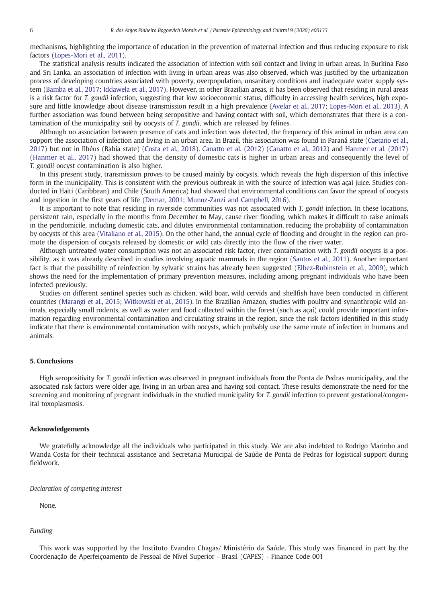mechanisms, highlighting the importance of education in the prevention of maternal infection and thus reducing exposure to risk factors [\(Lopes-Mori et al., 2011](#page-6-0)).

The statistical analysis results indicated the association of infection with soil contact and living in urban areas. In Burkina Faso and Sri Lanka, an association of infection with living in urban areas was also observed, which was justified by the urbanization process of developing countries associated with poverty, overpopulation, unsanitary conditions and inadequate water supply system ([Bamba et al., 2017](#page-6-0); [Iddawela et al., 2017](#page-6-0)). However, in other Brazilian areas, it has been observed that residing in rural areas is a risk factor for T. gondii infection, suggesting that low socioeconomic status, difficulty in accessing health services, high exposure and little knowledge about disease transmission result in a high prevalence ([Avelar et al., 2017](#page-6-0); [Lopes-Mori et al., 2013\)](#page-6-0). A further association was found between being seropositive and having contact with soil, which demonstrates that there is a contamination of the municipality soil by oocysts of T. gondii, which are released by felines.

Although no association between presence of cats and infection was detected, the frequency of this animal in urban area can support the association of infection and living in an urban area. In Brazil, this association was found in Paraná state [\(Caetano et al.,](#page-6-0) [2017\)](#page-6-0) but not in Ilhéus (Bahia state) [\(Costa et al., 2018](#page-6-0)). [Canatto et al. \(2012\)](#page-6-0) ([Canatto et al., 2012\)](#page-6-0) and [Hanmer et al. \(2017\)](#page-6-0) [\(Hanmer et al., 2017](#page-6-0)) had showed that the density of domestic cats is higher in urban areas and consequently the level of T. gondii oocyst contamination is also higher.

In this present study, transmission proves to be caused mainly by oocysts, which reveals the high dispersion of this infective form in the municipality. This is consistent with the previous outbreak in with the source of infection was açaí juice. Studies conducted in Haiti (Caribbean) and Chile (South America) had showed that environmental conditions can favor the spread of oocysts and ingestion in the first years of life ([Demar, 2001](#page-6-0); [Munoz-Zanzi and Campbell, 2016\)](#page-6-0).

It is important to note that residing in riverside communities was not associated with  $T$ , gondii infection. In these locations, persistent rain, especially in the months from December to May, cause river flooding, which makes it difficult to raise animals in the peridomicile, including domestic cats, and dilutes environmental contamination, reducing the probability of contamination by oocysts of this area ([Vitaliano et al., 2015](#page-7-0)). On the other hand, the annual cycle of flooding and drought in the region can promote the dispersion of oocysts released by domestic or wild cats directly into the flow of the river water.

Although untreated water consumption was not an associated risk factor, river contamination with T. gondii oocysts is a possibility, as it was already described in studies involving aquatic mammals in the region ([Santos et al., 2011](#page-6-0)). Another important fact is that the possibility of reinfection by sylvatic strains has already been suggested [\(Elbez-Rubinstein et al., 2009](#page-6-0)), which shows the need for the implementation of primary prevention measures, including among pregnant individuals who have been infected previously.

Studies on different sentinel species such as chicken, wild boar, wild cervids and shellfish have been conducted in different countries ([Marangi et al., 2015;](#page-6-0) [Witkowski et al., 2015\)](#page-7-0). In the Brazilian Amazon, studies with poultry and synanthropic wild animals, especially small rodents, as well as water and food collected within the forest (such as açaí) could provide important information regarding environmental contamination and circulating strains in the region, since the risk factors identified in this study indicate that there is environmental contamination with oocysts, which probably use the same route of infection in humans and animals.

### 5. Conclusions

High seropositivity for T. gondii infection was observed in pregnant individuals from the Ponta de Pedras municipality, and the associated risk factors were older age, living in an urban area and having soil contact. These results demonstrate the need for the screening and monitoring of pregnant individuals in the studied municipality for T. gondii infection to prevent gestational/congenital toxoplasmosis.

### Acknowledgements

We gratefully acknowledge all the individuals who participated in this study. We are also indebted to Rodrigo Marinho and Wanda Costa for their technical assistance and Secretaria Municipal de Saúde de Ponta de Pedras for logistical support during fieldwork.

### Declaration of competing interest

None.

### Funding

This work was supported by the Instituto Evandro Chagas/ Ministério da Saúde. This study was financed in part by the Coordenação de Aperfeiçoamento de Pessoal de Nível Superior - Brasil (CAPES) - Finance Code 001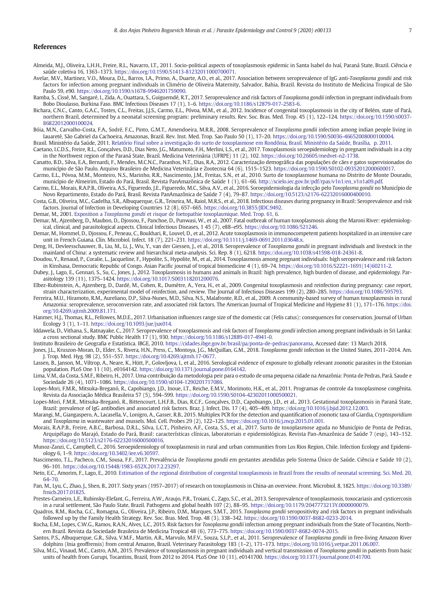### <span id="page-6-0"></span>References

- Almeida, M.J., Oliveira, L.H.H., Freire, R.L., Navarro, I.T., 2011. Socio-political aspects of toxoplasmosis epidemic in Santa Isabel do Ivaí, Paraná State, Brazil. Ciência e saúde coletiva 16, 1363–1373. <https://doi.org/10.1590/S1413-81232011000700071>.
- Avelar, M.V., Martinez, V.O., Moura, D.L., Barros, I.A., Primo, A., Duarte, A.O., et al., 2017. Association between seroprevalence of IgG anti-Toxoplasma gondii and risk factors for infection among pregnant individuals in Climério de Oliveira Maternity, Salvador, Bahia, Brazil. Revista do Instituto de Medicina Tropical de São Paulo 59, e90. <https://doi.org/10.1590/s1678-9946201759090>.
- Bamba, S., Cissé, M., Sangaré, I., Zida, A., Ouattara, S., Guiguemdé, R.T., 2017. Seroprevalence and risk factors of Toxoplasma gondii infection in pregnant individuals from Bobo Dioulasso, Burkina Faso. BMC Infectious Diseases 17 (1), 1–6. <https://doi.org/10.1186/s12879-017-2583-6>.
- Bichara, C.N.C., Canto, G.A.C., Tostes, C.L., Freitas, J.J.S., Carmo, E.L., Póvoa, M.M., et al., 2012. Incidence of congenital toxoplasmosis in the city of Belém, state of Pará, northern Brazil, determined by a neonatal screening program: preliminary results. Rev. Soc. Bras. Med. Trop. 45 (1), 122–124. [https://doi.org/10.1590/s0037-](https://doi.org/10.1590/s0037-86822012000100024) [86822012000100024.](https://doi.org/10.1590/s0037-86822012000100024)
- Bóia, M.N., Carvalho-Costa, F.A., Sodré, F.C., Pinto, G.M.T., Amendoeira, M.R.R., 2008. Seroprevalence of Toxoplasma gondii infection among indian people living in Iauareté, São Gabriel da Cachoeira, Amazonas, Brazil. Rev. Inst. Med. Trop. Sao Paulo 50 (1), 17–20. <https://doi.org/10.1590/S0036-46652008000100004>.
- Brasil. Ministério da Saúde, 2011. [Relatório Final sobre a investigação do surto de toxoplasmose em Rondônia, Brasil. Ministério da Saúde, Brasília, p. 2011.](http://refhub.elsevier.com/S2405-6731(20)30002-7/rf0030)
- Caetano, I.C.D.S., Freire, R.L., Gonçalves, D.D., Dias Neto, J.G., Matumoto, F.H., Merlini, L.S., et al., 2017. Toxoplasmosis seroepidemiology in pregnant individuals in a city in the Northwest region of the Paraná State, Brazil. Medicina Veterinária (UFRPE) 11 (2), 102. <https://doi.org/10.26605/medvet-n2-1738>.
- Canatto, B.D., Silva, E.A., Bernardi, F., Mendes, M.C.N.C., Paranhos, N.T., Dias, R.A., 2012. Caracterização demográfica das populações de cães e gatos supervisionados do município de São Paulo. Arquivo Brasileiro de Medicina Veterinária e Zootecnia 64 (6), 1515–1523. [https://doi.org/10.1590/S0102-09352012000600017.](https://doi.org/10.1590/S0102-09352012000600017)
- Carmo, E.L., Póvoa, M.M., Monteiro, N.S., Marinho, R.R., Nascimento, J.M., Freitas, S.N., et al., 2010. Surto de toxoplasmose humana no Distrito de Monte Dourado, município de Almeirim, Estado do Pará, Brasil. Revista PanAmazônica de Saúde 1 (1), 61–66. [http://scielo.iec.gov.br/pdf/rpas/v1n1/en\\_v1n1a09.pdf.](http://scielo.iec.gov.br/pdf/rpas/v1n1/en_v1n1a09.pdf)
- Carmo, E.L., Morais, R.A.P.B., Oliveira, A.S., Figueredo, J.E., Figueredo, M.C., Silva, A.V., et al., 2016. Soroepidemiologia da infecção pelo Toxoplasma gondii no Município de Novo Repartimento, Estado do Pará, Brasil. Revista PanAmazônica de Saúde 7 (4), 79–87. <https://doi.org/10.5123/s2176-62232016000400010>.
- Costa, G.B., Oliveira, M.C., Gadelha, S.R., Albuquerque, G.R., Teixeira, M., Raiol, M.R.S., et al., 2018. Infectious diseases during pregnancy in Brazil: Seroprevalence and risk factors. Journal of Infection in Developing Countries 12 (8), 657–665. [https://doi.org/10.3855/JIDC.9492.](https://doi.org/10.3855/JIDC.9492)
- Demar, M., 2001. Exposition a Toxoplasma gondii [et risque de foetopathie toxoplasmique. Med. Trop. 61, 6](http://refhub.elsevier.com/S2405-6731(20)30002-7/rf0060).
- Demar, M., Ajzenberg, D., Maubon, D., Djossou, F., Panchoe, D., Punwasi, W., et al., 2007. Fatal outbreak of human toxoplasmosis along the Maroni River: epidemiological, clinical, and parasitological aspects. Clinical Infectious Diseases, 1 45 (7), e88–e95. [https://doi.org/10.1086/521246.](https://doi.org/10.1086/521246)
- Demar, M., Hommel, D., Djossou, F., Peneau, C., Boukhari, R., Louvel, D., et al., 2012. Acute toxoplasmosis in immunocompetent patients hospitalized in an intensive care unit in French Guiana. Clin. Microbiol. Infect. 18 (7), 221–231. [https://doi.org/10.1111/j.1469-0691.2011.03648.x.](https://doi.org/10.1111/j.1469-0691.2011.03648.x)
- Deng, H., Devleesschauwer, B., Liu, M., Li, J., Wu, Y., van der Giessen, J., et al., 2018. Seroprevalence of Toxoplasma gondii in pregnant individuals and livestock in the mainland of China: a systematic review and hierarchical meta-analysis. Sci. Rep. 8 (1), 6218. [https://doi.org/10.1038/s41598-018-24361-8.](https://doi.org/10.1038/s41598-018-24361-8)
- Doudou, Y., Renaud, P., Coralie, L., Jacqueline, F., Hypolite, S., Hypolite, M., et al., 2014. Toxoplasmosis among pregnant individuals: high seroprevalence and risk factors in Kinshasa, Democratic Republic of Congo. Asian Pacific journal of tropical biomedicine 4 (1), 69–74. [https://doi.org/10.1016/S2221-1691\(14\)60211-2.](https://doi.org/10.1016/S2221-1691(14)60211-2)
- Dubey, J., Lago, E., Gennari, S., Su, C., Jones, J., 2012. Toxoplasmosis in humans and animals in Brazil: high prevalence, high burden of disease, and epidemiology. Parasitology 139 (11), 1375–1424. [https://doi.org/10.1017/S003118201200076.](https://doi.org/10.1017/S003118201200076)
- Elbez-Rubinstein, A., Ajzenberg, D., Dardé, M., Cohen, R., Dumètre, A., Yera, H., et al., 2009. Congenital toxoplasmosis and reinfection during pregnancy: case report, strain characterization, experimental model of reinfection, and review. The Journal of Infectious Diseases 199 (2), 280-285. [https://doi.org/10.1086/595793.](https://doi.org/10.1086/595793)
- Ferreira, M.U., Hiramoto, R.M., Aureliano, D.P., Silva-Nunes, M.D., Silva, N.S., Malafronte, R.D., et al., 2009. A community-based survey of human toxoplasmosis in rural Amazonia: seroprevalence, seroconversion rate, and associated risk factors. The American Journal of Tropical Medicine and Hygiene 81 (1), 171–176. [https://doi.](https://doi.org/10.4269/ajtmh.2009.81.171) [org/10.4269/ajtmh.2009.81.171](https://doi.org/10.4269/ajtmh.2009.81.171).
- Hanmer, H.J., Thomas, R.L., Fellowes, M.D.E., 2017. Urbanisation influences range size of the domestic cat (Felis catus): consequences for conservation. Journal of Urban Ecology 3 (1), 1–11. [https://doi.org/10.1093/jue/jux014.](https://doi.org/10.1093/jue/jux014)
- Iddawela, D., Vithana, S., Ratnayake, C., 2017. Seroprevalence of toxoplasmosis and risk factors of Toxoplasma gondii infection among pregnant individuals in Sri Lanka: a cross sectional study. BMC Public Health 17 (1), 930. [https://doi.org/10.1186/s12889-017-4941-0.](https://doi.org/10.1186/s12889-017-4941-0)
- Instituto Brasileiro de Geografia e Estatística. IBGE, 2010. <https://cidades.ibge.gov.br/brasil/pa/ponta-de-pedras/panorama>, Accessed date: 13 March 2018.
- Jones, J.L., Kruszon-Moran, D., Elder, S., Rivera, H.N., Press, C., Montoya, J.G., McQuillan, G.M., 2018. Toxoplasma gondii infection in the United States, 2011–2014. Am. J. Trop. Med. Hyg. 98 (2), 551–557. [https://doi.org/10.4269/ajtmh.17-0677.](https://doi.org/10.4269/ajtmh.17-0677)
- Lassen, B., Janson, M., Viltrop, A., Neare, K., Hütt, P., Golovljova, I., et al., 2016. Serological evidence of exposure to globally relevant zoonotic parasites in the Estonian population. PLoS One 11 (10), e0164142. [https://doi.org/10.1371/journal.pone.0164142.](https://doi.org/10.1371/journal.pone.0164142)
- Lima, V.M., da Costa, S.M.F., Ribeiro, H., 2017. Uma contribuição da metodologia peir para o estudo de uma pequena cidade na Amazônia: Ponta de Pedras, Pará. Saude e Sociedade 26 (4), 1071–1086. [https://doi.org/10.1590/s0104-1290201717086.](https://doi.org/10.1590/s0104-1290201717086)
- Lopes-Mori, F.M.R., Mitsuka-Breganó, R., Capobiango, J.D., Inoue, I.T., Reiche, E.M.V., Morimoto, H.K., et al., 2011. Programas de controle da toxoplasmose congênita. Revista da Associação Médica Brasileira 57 (5), 594–599. [https://doi.org/10.1590/S0104-42302011000500021.](https://doi.org/10.1590/S0104-42302011000500021)
- Lopes-Mori, F.M.R., Mitsuka-Breganó, R., Bittencourt, L.H.F.B., Dias, R.C.F., Gonçalves, D.D., Capobiango, J.D., et al., 2013. Gestational toxoplasmosis in Paraná State, Brazil: prevalence of IgG antibodies and associated risk factors. Braz. J. Infect. Dis. 17 (4), 405–409. <https://doi.org/10.1016/j.bjid.2012.12.003>.
- Marangi, M., Giangaspero, A., Lacasella, V., Lonigro, A., Gasser, R.B., 2015. Multiplex PCR for the detection and quantification of zoonotic taxa of Giardia, Cryptosporidium and Toxoplasma in wastewater and mussels. Mol. Cell. Probes 29 (2), 122–125. <https://doi.org/10.1016/j.mcp.2015.01.001>.
- Morais, R.A.P.B., Freire, A.B.C., Barbosa, D.R.L., Silva, L.C.T., Pinheiro, A.F., Costa, S.S., et al., 2017. Surto de toxoplasmose aguda no Município de Ponta de Pedras, Arquipélago do Marajó, Estado do Pará, Brasil: características clínicas, laboratoriais e epidemiológicas. Revista Pan-Amazônica de Saúde 7 (esp), 143–152. [https://doi.org/10.5123/s2176-62232016000500016.](https://doi.org/10.5123/s2176-62232016000500016)
- Munoz-Zanzi, C., Campbell, C., 2016. Seroepidemiology of toxoplasmosis in rural and urban communities from Los Rios Region, Chile. Infection Ecology and Epidemiology 6, 1–9. [https://doi.org/10.3402/iee.v6.30597.](https://doi.org/10.3402/iee.v6.30597)
- Nascimento, T.L., Pacheco, C.M., Sousa, F.F., 2017. Prevalência de Toxoplasma gondii em gestantes atendidas pelo Sistema Único de Saúde. Ciência e Saúde 10 (2), 96–101. <https://doi.org/10.15448/1983-652X.2017.2.23297>.
- Neto, E.C., Amorim, F., Lago, E., 2010. [Estimation of the regional distribution of congenital toxoplasmosis in Brazil from the results of neonatal screening. Sci. Med. 20,](http://refhub.elsevier.com/S2405-6731(20)30002-7/rf0160) [64](http://refhub.elsevier.com/S2405-6731(20)30002-7/rf0160)–70.
- Pan, M., Lyu, C., Zhao, J., Shen, B., 2017. Sixty years (1957–2017) of research on toxoplasmosis in China-an overview. Front. Microbiol. 8, 1825. [https://doi.org/10.3389/](https://doi.org/10.3389/fmicb.2017.01825) [fmicb.2017.01825.](https://doi.org/10.3389/fmicb.2017.01825)
- Prestes-Carneiro, L.E., Rubinsky-Elefant, G., Ferreira, A.W., Araujo, P.R., Troiani, C., Zago, S.C., et al., 2013. Seroprevalence of toxoplasmosis, toxocariasis and cysticercosis in a rural settlement, São Paulo State, Brazil. Pathogens and global health 107 (2), 88–95. <https://doi.org/10.1179/2047773213Y.0000000079>.
- Quadros, R.M., Rocha, G.C., Romagna, G., Oliveira, J.P., Ribeiro, D.M., Marques, S.M.T., 2015. Toxoplasma gondii seropositivity and risk factors in pregnant individuals followed up by the Family Health Strategy. Rev. Soc. Bras. Med. Trop. 48 (3), 338–342. <https://doi.org/10.1590/0037-8682-0233-2014>.
- Rocha, E.M., Lopes, C.W.G., Ramos, R.A.N., Alves, L.C., 2015. Risk factors for Toxoplasma gondii infection among pregnant individuals from the State of Tocantins, Northern Brazil. Revista da Sociedade Brasileira de Medicina Tropical 48 (6), 773–775. <https://doi.org/10.1590/0037-8682-0074-2015>.
- Santos, P.S., Albuquerque, G.R., Silva, V.M.F., Martin, A.R., Marvulo, M.F.V., Souza, S.L.P., et al., 2011. Seroprevalence of Toxoplasma gondii in free-living Amazon River dolphins (Inia geoffrensis) from central Amazon, Brazil. Veterinary Parasitology 183 (1–2), 171–173. <https://doi.org/10.1016/j.vetpar.2011.06.007>.
- Silva, M.G., Vinaud, M.C., Castro, A.M., 2015. Prevalence of toxoplasmosis in pregnant individuals and vertical transmission of Toxoplasma gondii in patients from basic units of health from Gurupi, Tocantins, Brazil, from 2012 to 2014. PLoS One 10 (11), e0141700. [https://doi.org/10.1371/journal.pone.0141700.](https://doi.org/10.1371/journal.pone.0141700)